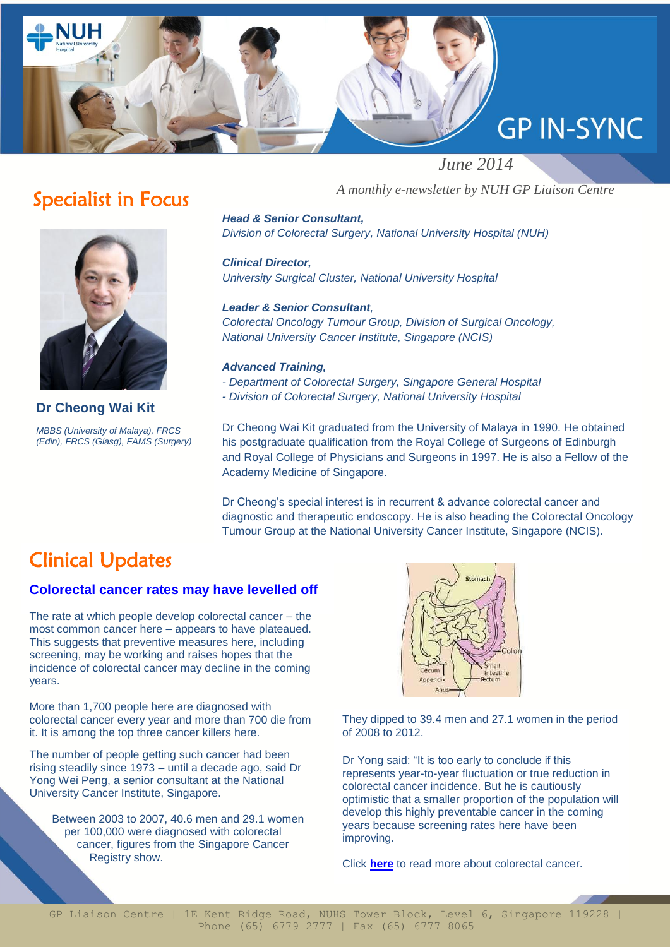

## Specialist in Focus



**Dr Cheong Wai Kit** *MBBS (University of Malaya), FRCS (Edin), FRCS (Glasg), FAMS (Surgery)* *A monthly e-newsletter by NUH GP Liaison Centre*

*Head & Senior Consultant, Division of Colorectal Surgery, National University Hospital (NUH)*

*Clinical Director, University Surgical Cluster, National University Hospital*

*Leader & Senior Consultant, Colorectal Oncology Tumour Group, Division of Surgical Oncology, National University Cancer Institute, Singapore (NCIS)*

#### *Advanced Training,*

- *- Department of Colorectal Surgery, Singapore General Hospital*
- *- Division of Colorectal Surgery, National University Hospital*

Dr Cheong Wai Kit graduated from the University of Malaya in 1990. He obtained his postgraduate qualification from the Royal College of Surgeons of Edinburgh and Royal College of Physicians and Surgeons in 1997. He is also a Fellow of the Academy Medicine of Singapore.

Dr Cheong's special interest is in recurrent & advance colorectal cancer and diagnostic and therapeutic endoscopy. He is also heading the Colorectal Oncology Tumour Group at the National University Cancer Institute, Singapore (NCIS).

## Clinical Updates

#### **Colorectal cancer rates may have levelled off**

The rate at which people develop colorectal cancer – the most common cancer here – appears to have plateaued. This suggests that preventive measures here, including screening, may be working and raises hopes that the incidence of colorectal cancer may decline in the coming years.

More than 1,700 people here are diagnosed with colorectal cancer every year and more than 700 die from it. It is among the top three cancer killers here.

The number of people getting such cancer had been rising steadily since 1973 – until a decade ago, said Dr Yong Wei Peng, a senior consultant at the National University Cancer Institute, Singapore.

Between 2003 to 2007, 40.6 men and 29.1 women per 100,000 were diagnosed with colorectal cancer, figures from the Singapore Cancer Registry show.



They dipped to 39.4 men and 27.1 women in the period of 2008 to 2012.

Dr Yong said: "It is too early to conclude if this represents year-to-year fluctuation or true reduction in colorectal cancer incidence. But he is cautiously optimistic that a smaller proportion of the population will develop this highly preventable cancer in the coming years because screening rates here have been improving.

Click **[here](http://www.nuh.com.sg/wbn/slot/u2995/News%20Articles/2014/APR/19042014_ST_Colorectal%20Ca%20Rates%20May%20Have%20Levelled%20Off.pdf)** to read more about colorectal cancer.